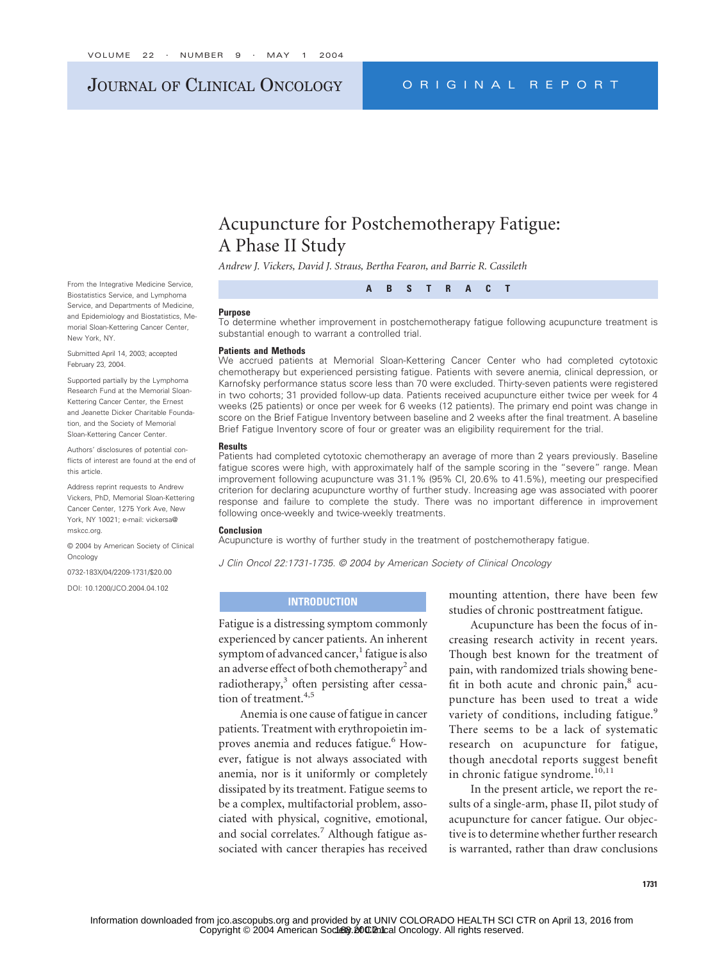# JOURNAL OF CLINICAL ONCOLOGY ORIGINAL REPORT

# Acupuncture for Postchemotherapy Fatigue: A Phase II Study

*Andrew J. Vickers, David J. Straus, Bertha Fearon, and Barrie R. Cassileth*

**ABSTRACT**

#### **Purpose**

To determine whether improvement in postchemotherapy fatigue following acupuncture treatment is substantial enough to warrant a controlled trial.

#### **Patients and Methods**

We accrued patients at Memorial Sloan-Kettering Cancer Center who had completed cytotoxic chemotherapy but experienced persisting fatigue. Patients with severe anemia, clinical depression, or Karnofsky performance status score less than 70 were excluded. Thirty-seven patients were registered in two cohorts; 31 provided follow-up data. Patients received acupuncture either twice per week for 4 weeks (25 patients) or once per week for 6 weeks (12 patients). The primary end point was change in score on the Brief Fatigue Inventory between baseline and 2 weeks after the final treatment. A baseline Brief Fatigue Inventory score of four or greater was an eligibility requirement for the trial.

#### **Results**

Patients had completed cytotoxic chemotherapy an average of more than 2 years previously. Baseline fatigue scores were high, with approximately half of the sample scoring in the "severe" range. Mean improvement following acupuncture was 31.1% (95% CI, 20.6% to 41.5%), meeting our prespecified criterion for declaring acupuncture worthy of further study. Increasing age was associated with poorer response and failure to complete the study. There was no important difference in improvement following once-weekly and twice-weekly treatments.

#### **Conclusion**

Acupuncture is worthy of further study in the treatment of postchemotherapy fatigue.

*J Clin Oncol 22:1731-1735. © 2004 by American Society of Clinical Oncology*

## **INTRODUCTION**

Fatigue is a distressing symptom commonly experienced by cancer patients. An inherent symptom of advanced cancer, $<sup>1</sup>$  fatigue is also</sup> an adverse effect of both chemotherapy<sup>2</sup> and radiotherapy,<sup>3</sup> often persisting after cessation of treatment.<sup>4,5</sup>

Anemia is one cause of fatigue in cancer patients. Treatment with erythropoietin improves anemia and reduces fatigue.<sup>6</sup> However, fatigue is not always associated with anemia, nor is it uniformly or completely dissipated by its treatment. Fatigue seems to be a complex, multifactorial problem, associated with physical, cognitive, emotional, and social correlates.<sup>7</sup> Although fatigue associated with cancer therapies has received mounting attention, there have been few studies of chronic posttreatment fatigue.

Acupuncture has been the focus of increasing research activity in recent years. Though best known for the treatment of pain, with randomized trials showing benefit in both acute and chronic pain, $8$  acupuncture has been used to treat a wide variety of conditions, including fatigue.<sup>9</sup> There seems to be a lack of systematic research on acupuncture for fatigue, though anecdotal reports suggest benefit in chronic fatigue syndrome.<sup>10,11</sup>

In the present article, we report the results of a single-arm, phase II, pilot study of acupuncture for cancer fatigue. Our objective is to determine whether further research is warranted, rather than draw conclusions

From the Integrative Medicine Service, Biostatistics Service, and Lymphoma Service, and Departments of Medicine, and Epidemiology and Biostatistics, Memorial Sloan-Kettering Cancer Center, New York, NY.

Submitted April 14, 2003; accepted February 23, 2004.

Supported partially by the Lymphoma Research Fund at the Memorial Sloan-Kettering Cancer Center, the Ernest and Jeanette Dicker Charitable Foundation, and the Society of Memorial Sloan-Kettering Cancer Center.

Authors' disclosures of potential conflicts of interest are found at the end of this article.

Address reprint requests to Andrew Vickers, PhD, Memorial Sloan-Kettering Cancer Center, 1275 York Ave, New York, NY 10021; e-mail: vickersa@ mskcc.org.

© 2004 by American Society of Clinical Oncology

0732-183X/04/2209-1731/\$20.00

DOI: 10.1200/JCO.2004.04.102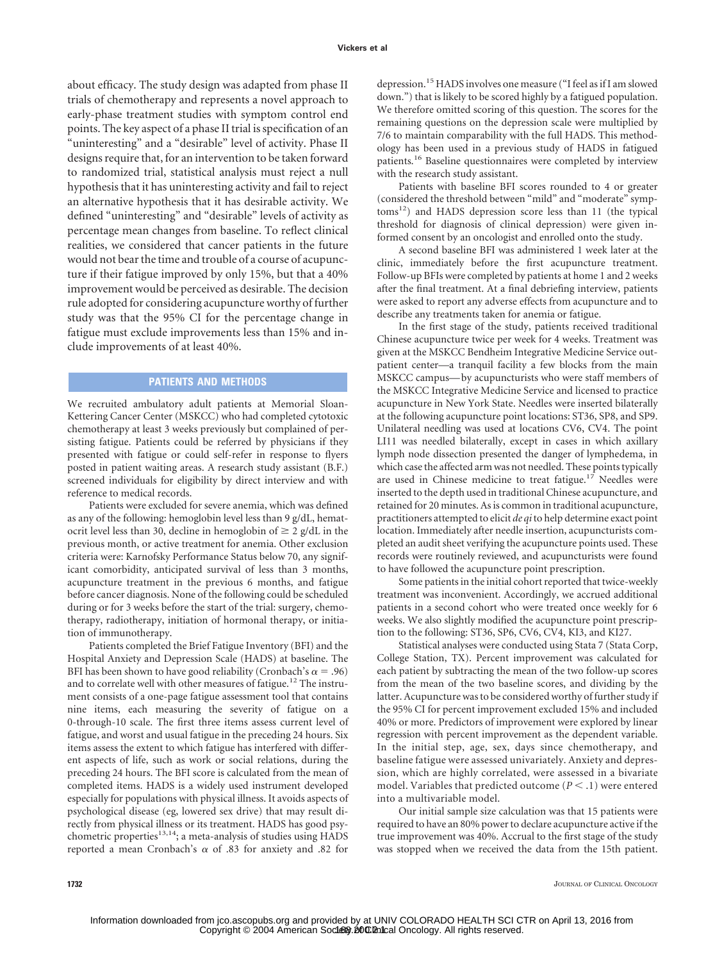about efficacy. The study design was adapted from phase II trials of chemotherapy and represents a novel approach to early-phase treatment studies with symptom control end points. The key aspect of a phase II trial is specification of an "uninteresting" and a "desirable" level of activity. Phase II designs require that, for an intervention to be taken forward to randomized trial, statistical analysis must reject a null hypothesis that it has uninteresting activity and fail to reject an alternative hypothesis that it has desirable activity. We defined "uninteresting" and "desirable" levels of activity as percentage mean changes from baseline. To reflect clinical realities, we considered that cancer patients in the future would not bear the time and trouble of a course of acupuncture if their fatigue improved by only 15%, but that a 40% improvement would be perceived as desirable. The decision rule adopted for considering acupuncture worthy of further study was that the 95% CI for the percentage change in fatigue must exclude improvements less than 15% and include improvements of at least 40%.

# **PATIENTS AND METHODS**

We recruited ambulatory adult patients at Memorial Sloan-Kettering Cancer Center (MSKCC) who had completed cytotoxic chemotherapy at least 3 weeks previously but complained of persisting fatigue. Patients could be referred by physicians if they presented with fatigue or could self-refer in response to flyers posted in patient waiting areas. A research study assistant (B.F.) screened individuals for eligibility by direct interview and with reference to medical records.

Patients were excluded for severe anemia, which was defined as any of the following: hemoglobin level less than 9 g/dL, hematocrit level less than 30, decline in hemoglobin of  $\geq 2$  g/dL in the previous month, or active treatment for anemia. Other exclusion criteria were: Karnofsky Performance Status below 70, any significant comorbidity, anticipated survival of less than 3 months, acupuncture treatment in the previous 6 months, and fatigue before cancer diagnosis. None of the following could be scheduled during or for 3 weeks before the start of the trial: surgery, chemotherapy, radiotherapy, initiation of hormonal therapy, or initiation of immunotherapy.

Patients completed the Brief Fatigue Inventory (BFI) and the Hospital Anxiety and Depression Scale (HADS) at baseline. The BFI has been shown to have good reliability (Cronbach's  $\alpha = .96$ ) and to correlate well with other measures of fatigue.<sup>12</sup> The instrument consists of a one-page fatigue assessment tool that contains nine items, each measuring the severity of fatigue on a 0-through-10 scale. The first three items assess current level of fatigue, and worst and usual fatigue in the preceding 24 hours. Six items assess the extent to which fatigue has interfered with different aspects of life, such as work or social relations, during the preceding 24 hours. The BFI score is calculated from the mean of completed items. HADS is a widely used instrument developed especially for populations with physical illness. It avoids aspects of psychological disease (eg, lowered sex drive) that may result directly from physical illness or its treatment. HADS has good psychometric properties<sup>13,14</sup>; a meta-analysis of studies using HADS reported a mean Cronbach's  $\alpha$  of .83 for anxiety and .82 for

depression.15HADS involves one measure ("I feel as if I am slowed down.") that is likely to be scored highly by a fatigued population. We therefore omitted scoring of this question. The scores for the remaining questions on the depression scale were multiplied by 7/6 to maintain comparability with the full HADS. This methodology has been used in a previous study of HADS in fatigued patients.16 Baseline questionnaires were completed by interview with the research study assistant.

Patients with baseline BFI scores rounded to 4 or greater (considered the threshold between "mild" and "moderate" symptoms<sup>12</sup>) and HADS depression score less than 11 (the typical threshold for diagnosis of clinical depression) were given informed consent by an oncologist and enrolled onto the study.

A second baseline BFI was administered 1 week later at the clinic, immediately before the first acupuncture treatment. Follow-up BFIs were completed by patients at home 1 and 2 weeks after the final treatment. At a final debriefing interview, patients were asked to report any adverse effects from acupuncture and to describe any treatments taken for anemia or fatigue.

In the first stage of the study, patients received traditional Chinese acupuncture twice per week for 4 weeks. Treatment was given at the MSKCC Bendheim Integrative Medicine Service outpatient center—a tranquil facility a few blocks from the main MSKCC campus— by acupuncturists who were staff members of the MSKCC Integrative Medicine Service and licensed to practice acupuncture in New York State. Needles were inserted bilaterally at the following acupuncture point locations: ST36, SP8, and SP9. Unilateral needling was used at locations CV6, CV4. The point LI11 was needled bilaterally, except in cases in which axillary lymph node dissection presented the danger of lymphedema, in which case the affected arm was not needled. These points typically are used in Chinese medicine to treat fatigue.<sup>17</sup> Needles were inserted to the depth used in traditional Chinese acupuncture, and retained for 20 minutes. As is common in traditional acupuncture, practitioners attempted to elicit *de qi* to help determine exact point location. Immediately after needle insertion, acupuncturists completed an audit sheet verifying the acupuncture points used. These records were routinely reviewed, and acupuncturists were found to have followed the acupuncture point prescription.

Some patients in the initial cohort reported that twice-weekly treatment was inconvenient. Accordingly, we accrued additional patients in a second cohort who were treated once weekly for 6 weeks. We also slightly modified the acupuncture point prescription to the following: ST36, SP6, CV6, CV4, KI3, and KI27.

Statistical analyses were conducted using Stata 7 (Stata Corp, College Station, TX). Percent improvement was calculated for each patient by subtracting the mean of the two follow-up scores from the mean of the two baseline scores, and dividing by the latter. Acupuncture was to be considered worthy of further study if the 95% CI for percent improvement excluded 15% and included 40% or more. Predictors of improvement were explored by linear regression with percent improvement as the dependent variable. In the initial step, age, sex, days since chemotherapy, and baseline fatigue were assessed univariately. Anxiety and depression, which are highly correlated, were assessed in a bivariate model. Variables that predicted outcome  $(P < .1)$  were entered into a multivariable model.

Our initial sample size calculation was that 15 patients were required to have an 80% power to declare acupuncture active if the true improvement was 40%. Accrual to the first stage of the study was stopped when we received the data from the 15th patient.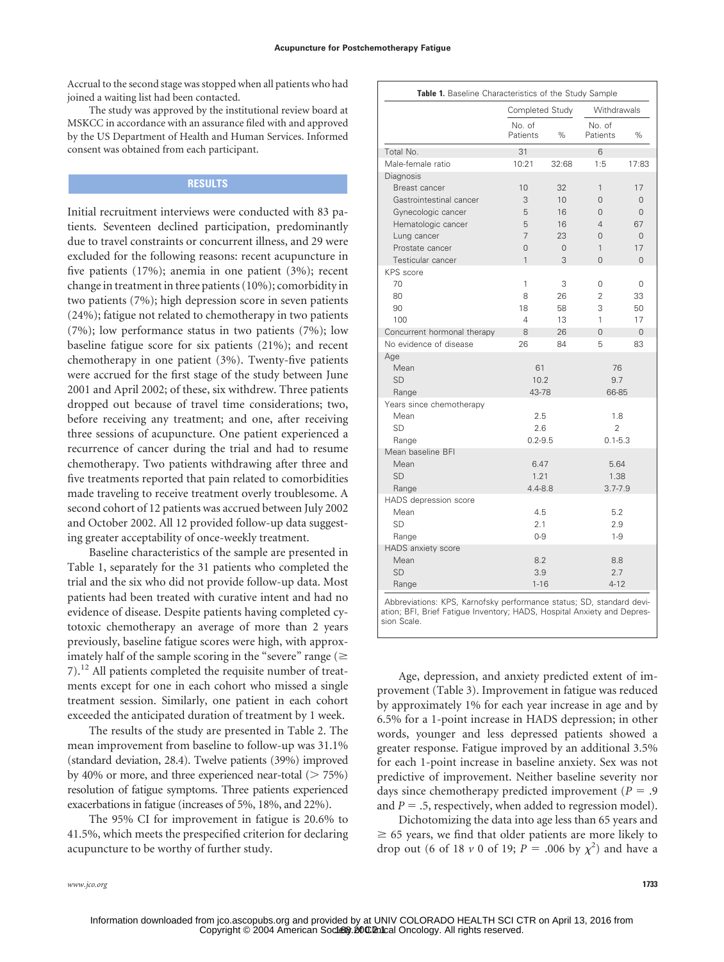Accrual to the second stage was stopped when all patients who had joined a waiting list had been contacted.

The study was approved by the institutional review board at MSKCC in accordance with an assurance filed with and approved by the US Department of Health and Human Services. Informed consent was obtained from each participant.

# **RESULTS**

Initial recruitment interviews were conducted with 83 patients. Seventeen declined participation, predominantly due to travel constraints or concurrent illness, and 29 were excluded for the following reasons: recent acupuncture in five patients (17%); anemia in one patient (3%); recent change in treatment in three patients (10%); comorbidity in two patients (7%); high depression score in seven patients (24%); fatigue not related to chemotherapy in two patients (7%); low performance status in two patients (7%); low baseline fatigue score for six patients (21%); and recent chemotherapy in one patient (3%). Twenty-five patients were accrued for the first stage of the study between June 2001 and April 2002; of these, six withdrew. Three patients dropped out because of travel time considerations; two, before receiving any treatment; and one, after receiving three sessions of acupuncture. One patient experienced a recurrence of cancer during the trial and had to resume chemotherapy. Two patients withdrawing after three and five treatments reported that pain related to comorbidities made traveling to receive treatment overly troublesome. A second cohort of 12 patients was accrued between July 2002 and October 2002. All 12 provided follow-up data suggesting greater acceptability of once-weekly treatment.

Baseline characteristics of the sample are presented in Table 1, separately for the 31 patients who completed the trial and the six who did not provide follow-up data. Most patients had been treated with curative intent and had no evidence of disease. Despite patients having completed cytotoxic chemotherapy an average of more than 2 years previously, baseline fatigue scores were high, with approximately half of the sample scoring in the "severe" range  $(\geq$ 7).<sup>12</sup> All patients completed the requisite number of treatments except for one in each cohort who missed a single treatment session. Similarly, one patient in each cohort exceeded the anticipated duration of treatment by 1 week.

The results of the study are presented in Table 2. The mean improvement from baseline to follow-up was 31.1% (standard deviation, 28.4). Twelve patients (39%) improved by 40% or more, and three experienced near-total  $($  > 75%) resolution of fatigue symptoms. Three patients experienced exacerbations in fatigue (increases of 5%, 18%, and 22%).

The 95% CI for improvement in fatigue is 20.6% to 41.5%, which meets the prespecified criterion for declaring acupuncture to be worthy of further study.

| Table 1. Baseline Characteristics of the Study Sample |                    |                 |                    |                |  |  |
|-------------------------------------------------------|--------------------|-----------------|--------------------|----------------|--|--|
|                                                       |                    | Completed Study |                    | Withdrawals    |  |  |
|                                                       | No. of<br>Patients | $\%$            | No. of<br>Patients | %              |  |  |
| Total No.                                             | 31                 |                 | 6                  |                |  |  |
| Male-female ratio                                     | 10:21              | 32:68           | 1:5                | 17:83          |  |  |
| Diagnosis                                             |                    |                 |                    |                |  |  |
| Breast cancer                                         | 10                 | 32              | $\mathbf{1}$       | 17             |  |  |
| Gastrointestinal cancer                               | 3                  | 10              | $\Omega$           | $\Omega$       |  |  |
| Gynecologic cancer                                    | 5                  | 16              | $\overline{0}$     | $\overline{0}$ |  |  |
| Hematologic cancer                                    | 5                  | 16              | 4                  | 67             |  |  |
| Lung cancer                                           | 7                  | 23              | $\overline{0}$     | $\overline{0}$ |  |  |
| Prostate cancer                                       | $\Omega$           | $\Omega$        | 1                  | 17             |  |  |
| Testicular cancer                                     | 1                  | 3               | $\Omega$           | 0              |  |  |
| <b>KPS</b> score                                      |                    |                 |                    |                |  |  |
| 70                                                    | 1                  | 3               | 0                  | $\Omega$       |  |  |
| 80                                                    | 8                  | 26              | $\overline{2}$     | 33             |  |  |
| 90                                                    | 18                 | 58              | 3                  | 50             |  |  |
| 100                                                   | $\overline{4}$     | 13              | 1                  | 17             |  |  |
| Concurrent hormonal therapy                           | 8                  | 26              | $\Omega$           | $\Omega$       |  |  |
| No evidence of disease                                | 26                 | 84              | 5                  | 83             |  |  |
| Age                                                   |                    |                 |                    |                |  |  |
| Mean                                                  | 61                 |                 | 76                 |                |  |  |
| <b>SD</b>                                             | 10.2               |                 | 9.7                |                |  |  |
| Range                                                 | 43-78              |                 | 66-85              |                |  |  |
| Years since chemotherapy                              |                    |                 |                    |                |  |  |
| Mean                                                  | 2.5                |                 | 1.8                |                |  |  |
| <b>SD</b>                                             | 2.6                |                 | 2                  |                |  |  |
| Range                                                 | $0.2 - 9.5$        |                 | $0.1 - 5.3$        |                |  |  |
| Mean baseline BFI                                     |                    |                 |                    |                |  |  |
| Mean                                                  | 6.47               |                 | 5.64               |                |  |  |
| <b>SD</b>                                             | 1.21               |                 | 1.38               |                |  |  |
| Range                                                 | $4.4 - 8.8$        |                 | $3.7 - 7.9$        |                |  |  |
| HADS depression score                                 |                    |                 |                    |                |  |  |
| Mean                                                  | 4.5                |                 | 5.2                |                |  |  |
| <b>SD</b>                                             | 2.1                |                 | 2.9                |                |  |  |
| Range                                                 | $0 - 9$            |                 | $1 - 9$            |                |  |  |
| HADS anxiety score                                    |                    |                 |                    |                |  |  |
| Mean                                                  |                    | 8.2             |                    | 8.8            |  |  |
| SD                                                    | 3.9                |                 | 2.7                |                |  |  |
| Range                                                 | $1 - 16$           |                 | $4 - 12$           |                |  |  |

Abbreviations: KPS, Karnofsky performance status; SD, standard deviation; BFI, Brief Fatigue Inventory; HADS, Hospital Anxiety and Depression Scale.

Age, depression, and anxiety predicted extent of improvement (Table 3). Improvement in fatigue was reduced by approximately 1% for each year increase in age and by 6.5% for a 1-point increase in HADS depression; in other words, younger and less depressed patients showed a greater response. Fatigue improved by an additional 3.5% for each 1-point increase in baseline anxiety. Sex was not predictive of improvement. Neither baseline severity nor days since chemotherapy predicted improvement ( $P = .9$ and  $P = .5$ , respectively, when added to regression model).

Dichotomizing the data into age less than 65 years and  $\geq$  65 years, we find that older patients are more likely to drop out (6 of 18  $\nu$  0 of 19; *P* = .006 by  $\chi^2$ ) and have a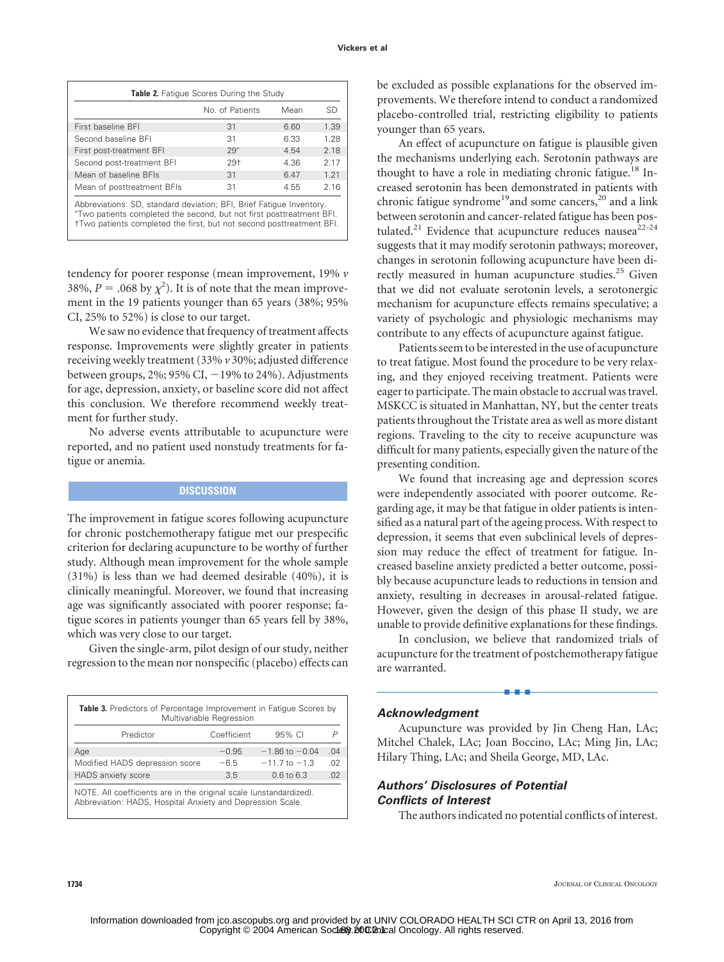| Table 2. Fatique Scores During the Study |                 |      |      |  |
|------------------------------------------|-----------------|------|------|--|
|                                          | No. of Patients | Mean | SD   |  |
| First baseline BFI                       | 31              | 6.60 | 1.39 |  |
| Second baseline BFI                      | 31              | 6.33 | 1.28 |  |
| First post-treatment BFI                 | $29*$           | 4.54 | 2.18 |  |
| Second post-treatment BFI                | 29 <sup>†</sup> | 4.36 | 2.17 |  |
| Mean of baseline BFIs                    | 31              | 6.47 | 1.21 |  |
| Mean of posttreatment BFIs               | 31              | 4.55 | 2 16 |  |

Abbreviations: SD, standard deviation; BFI, Brief Fatigue Inventory. Two patients completed the second, but not first posttreatment BFI. †Two patients completed the first, but not second posttreatment BFI.

tendency for poorer response (mean improvement, 19% *v* 38%,  $P = .068$  by  $\chi^2$ ). It is of note that the mean improvement in the 19 patients younger than 65 years (38%; 95% CI, 25% to 52%) is close to our target.

We saw no evidence that frequency of treatment affects response. Improvements were slightly greater in patients receiving weekly treatment (33% *v* 30%; adjusted difference between groups,  $2\%$ ;  $95\%$  CI,  $-19\%$  to  $24\%$ ). Adjustments for age, depression, anxiety, or baseline score did not affect this conclusion. We therefore recommend weekly treatment for further study.

No adverse events attributable to acupuncture were reported, and no patient used nonstudy treatments for fatigue or anemia.

# **DISCUSSION**

The improvement in fatigue scores following acupuncture for chronic postchemotherapy fatigue met our prespecific criterion for declaring acupuncture to be worthy of further study. Although mean improvement for the whole sample (31%) is less than we had deemed desirable (40%), it is clinically meaningful. Moreover, we found that increasing age was significantly associated with poorer response; fatigue scores in patients younger than 65 years fell by 38%, which was very close to our target.

Given the single-arm, pilot design of our study, neither regression to the mean nor nonspecific (placebo) effects can

| <b>Table 3.</b> Predictors of Percentage Improvement in Fatique Scores by<br>Multivariable Regression                            |             |                    |     |  |  |  |
|----------------------------------------------------------------------------------------------------------------------------------|-------------|--------------------|-----|--|--|--|
| Predictor                                                                                                                        | Coefficient | 95% CI             | P   |  |  |  |
| Age                                                                                                                              | $-0.95$     | $-1.86$ to $-0.04$ | .04 |  |  |  |
| Modified HADS depression score                                                                                                   | $-6.5$      | $-11.7$ to $-1.3$  | .02 |  |  |  |
| HADS anxiety score                                                                                                               | 3.5         | 0.6 to 6.3         | .02 |  |  |  |
| NOTE. All coefficients are in the original scale (unstandardized).<br>Abbreviation: HADS, Hospital Anxiety and Depression Scale. |             |                    |     |  |  |  |

be excluded as possible explanations for the observed improvements. We therefore intend to conduct a randomized placebo-controlled trial, restricting eligibility to patients younger than 65 years.

An effect of acupuncture on fatigue is plausible given the mechanisms underlying each. Serotonin pathways are thought to have a role in mediating chronic fatigue.<sup>18</sup> Increased serotonin has been demonstrated in patients with chronic fatigue syndrome<sup>19</sup> and some cancers,<sup>20</sup> and a link between serotonin and cancer-related fatigue has been postulated.<sup>21</sup> Evidence that acupuncture reduces nausea<sup>22-24</sup> suggests that it may modify serotonin pathways; moreover, changes in serotonin following acupuncture have been directly measured in human acupuncture studies.<sup>25</sup> Given that we did not evaluate serotonin levels, a serotonergic mechanism for acupuncture effects remains speculative; a variety of psychologic and physiologic mechanisms may contribute to any effects of acupuncture against fatigue.

Patients seem to be interested in the use of acupuncture to treat fatigue. Most found the procedure to be very relaxing, and they enjoyed receiving treatment. Patients were eager to participate. The main obstacle to accrual was travel. MSKCC is situated in Manhattan, NY, but the center treats patients throughout the Tristate area as well as more distant regions. Traveling to the city to receive acupuncture was difficult for many patients, especially given the nature of the presenting condition.

We found that increasing age and depression scores were independently associated with poorer outcome. Regarding age, it may be that fatigue in older patients is intensified as a natural part of the ageing process. With respect to depression, it seems that even subclinical levels of depression may reduce the effect of treatment for fatigue. Increased baseline anxiety predicted a better outcome, possibly because acupuncture leads to reductions in tension and anxiety, resulting in decreases in arousal-related fatigue. However, given the design of this phase II study, we are unable to provide definitive explanations for these findings.

In conclusion, we believe that randomized trials of acupuncture for the treatment of postchemotherapy fatigue are warranted.

■■■

# *Acknowledgment*

Acupuncture was provided by Jin Cheng Han, LAc; Mitchel Chalek, LAc; Joan Boccino, LAc; Ming Jin, LAc; Hilary Thing, LAc; and Sheila George, MD, LAc.

# *Authors' Disclosures of Potential Conflicts of Interest*

The authors indicated no potential conflicts of interest.

**1734** JOURNAL OF CLINICAL ONCOLOGY